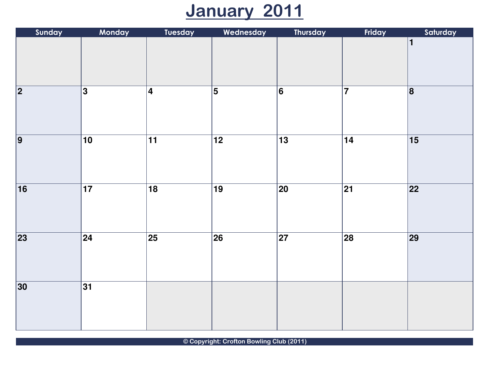## January 2011

| Sunday          | Monday          | <b>Tuesday</b>          | Wednesday       | Thursday        | Friday          | Saturday        |
|-----------------|-----------------|-------------------------|-----------------|-----------------|-----------------|-----------------|
|                 |                 |                         |                 |                 |                 | $\mathbf 1$     |
| $\overline{2}$  | 3               | $\overline{\mathbf{4}}$ | $\overline{5}$  | 6               | $\overline{7}$  | 8               |
| $\overline{9}$  | $\overline{10}$ | $\overline{11}$         | $\overline{12}$ | $\overline{13}$ | $\overline{14}$ | $\overline{15}$ |
| $\overline{16}$ | $\overline{17}$ | $\overline{18}$         | $\overline{19}$ | 20              | $\overline{21}$ | $\overline{22}$ |
| 23              | $\overline{24}$ | 25                      | $\overline{26}$ | $\overline{27}$ | 28              | 29              |
| 30              | $\overline{31}$ |                         |                 |                 |                 |                 |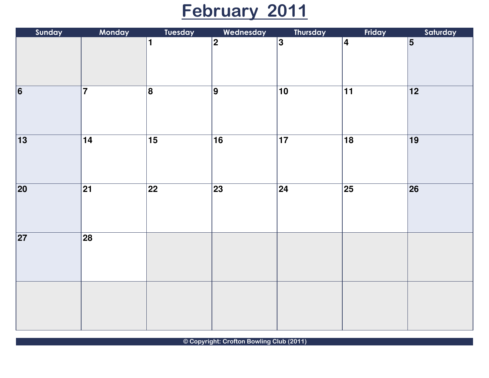### February 2011

| Sunday          | Monday                  | <b>Tuesday</b>  | Wednesday       | Thursday        | Friday          | Saturday        |
|-----------------|-------------------------|-----------------|-----------------|-----------------|-----------------|-----------------|
|                 |                         | 1               | $\overline{2}$  | $\overline{3}$  | $\overline{4}$  | $\overline{5}$  |
| $\overline{6}$  | $\overline{\mathbf{7}}$ | $\overline{8}$  | $\overline{9}$  | $\overline{10}$ | $\overline{11}$ | $\overline{12}$ |
| $\overline{13}$ | $\overline{14}$         | $\overline{15}$ | $\overline{16}$ | $\overline{17}$ | $\overline{18}$ | $\overline{19}$ |
| $\overline{20}$ | $\overline{21}$         | $\overline{22}$ | $\overline{23}$ | $\overline{24}$ | $\overline{25}$ | $\overline{26}$ |
| $\overline{27}$ | $\overline{28}$         |                 |                 |                 |                 |                 |
|                 |                         |                 |                 |                 |                 |                 |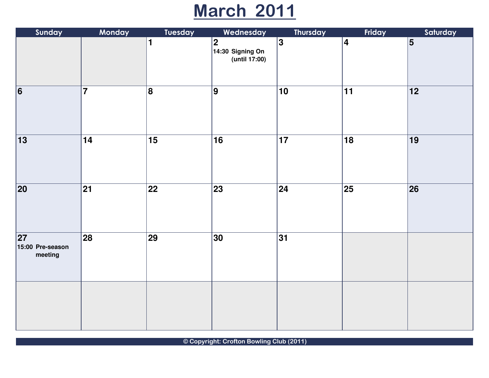### March 2011

| Sunday                                         | Monday                   | <b>Tuesday</b>  | Wednesday                                             | Thursday        | Friday          | Saturday        |
|------------------------------------------------|--------------------------|-----------------|-------------------------------------------------------|-----------------|-----------------|-----------------|
|                                                |                          | 1               | $\overline{2}$<br>$14:30$ Signing On<br>(until 17:00) | $\overline{3}$  | $\vert 4 \vert$ | $\overline{5}$  |
| $\overline{6}$                                 | $\overline{7}$           | $\vert 8 \vert$ | 9                                                     | 10              | $11$            | 12              |
| $\overline{13}$                                | $\overline{14}$          | $\overline{15}$ | $\overline{16}$                                       | $\overline{17}$ | $\overline{18}$ | $\overline{19}$ |
| $\overline{20}$                                | $\overline{21}$          | $\overline{22}$ | $\overline{\textbf{23}}$                              | $\overline{24}$ | $\overline{25}$ | $\overline{26}$ |
| $\overline{27}$<br>15:00 Pre-season<br>meeting | $\overline{\textbf{28}}$ | <b>29</b>       | 30                                                    | 31              |                 |                 |
|                                                |                          |                 |                                                       |                 |                 |                 |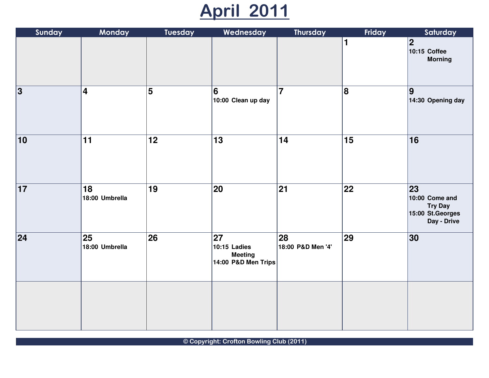## April 2011

| Sunday          | Monday                  | <b>Tuesday</b> | Wednesday                                                   | Thursday                | Friday | Saturday                                                                   |
|-----------------|-------------------------|----------------|-------------------------------------------------------------|-------------------------|--------|----------------------------------------------------------------------------|
|                 |                         |                |                                                             |                         | 1      | $\overline{\mathbf{2}}$<br>10:15 Coffee<br><b>Morning</b>                  |
| 3               | $\overline{\mathbf{4}}$ | 5              | $6\phantom{1}6$<br>10:00 Clean up day                       | $\overline{7}$          | 8      | 9<br>14:30 Opening day                                                     |
| 10              | 11                      | 12             | 13                                                          | 14                      | 15     | 16                                                                         |
| $\overline{17}$ | 18<br>18:00 Umbrella    | 19             | $\overline{20}$                                             | $\overline{21}$         | 22     | 23<br>10:00 Come and<br><b>Try Day</b><br>15:00 St. Georges<br>Day - Drive |
| 24              | 25<br>18:00 Umbrella    | 26             | 27<br>10:15 Ladies<br><b>Meeting</b><br>14:00 P&D Men Trips | 28<br>18:00 P&D Men '4' | 29     | 30                                                                         |
|                 |                         |                |                                                             |                         |        |                                                                            |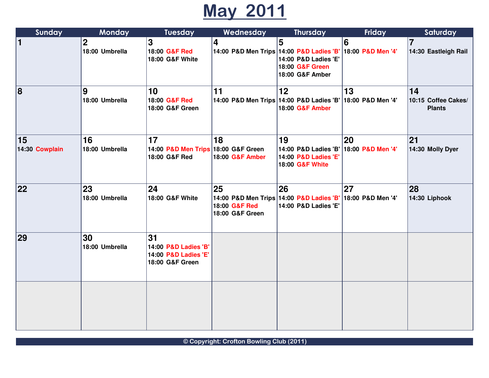## May 2011

| Sunday               | <b>Monday</b>                 | <b>Tuesday</b>                                                        | Wednesday                              | <b>Thursday</b>                                                                                             | Friday                  | Saturday                                   |
|----------------------|-------------------------------|-----------------------------------------------------------------------|----------------------------------------|-------------------------------------------------------------------------------------------------------------|-------------------------|--------------------------------------------|
| $\vert$ 1            | $\mathbf 2$<br>18:00 Umbrella | 3<br>18:00 G&F Red<br>18:00 G&F White                                 | $\overline{\mathbf{4}}$                | 5<br>14:00 P&D Men Trips 14:00 P&D Ladies 'B'<br>14:00 P&D Ladies 'E'<br>18:00 G&F Green<br>18:00 G&F Amber | 6<br>18:00 P&D Men '4'  | $\overline{7}$<br>14:30 Eastleigh Rail     |
| 8                    | 9<br>18:00 Umbrella           | 10<br>18:00 G&F Red<br>18:00 G&F Green                                | 11                                     | 12<br>14:00 P&D Men Trips 14:00 P&D Ladies 'B'<br>18:00 G&F Amber                                           | 13<br>18:00 P&D Men '4' | 14<br>10:15 Coffee Cakes/<br><b>Plants</b> |
| 15<br>14:30 Cowplain | 16<br>18:00 Umbrella          | 17<br>14:00 P&D Men Trips 18:00 G&F Green<br>18:00 G&F Red            | 18<br>18:00 G&F Amber                  | 19<br>14:00 P&D Ladies 'B'<br>14:00 P&D Ladies 'E'<br>18:00 G&F White                                       | 20<br>18:00 P&D Men '4' | 21<br>14:30 Molly Dyer                     |
| 22                   | 23<br>18:00 Umbrella          | 24<br>18:00 G&F White                                                 | 25<br>18:00 G&F Red<br>18:00 G&F Green | 26<br>14:00 P&D Men Trips 14:00 P&D Ladies 'B' 18:00 P&D Men '4'<br>14:00 P&D Ladies 'E'                    | 27                      | 28<br>14:30 Liphook                        |
| 29                   | 30<br>18:00 Umbrella          | 31<br>14:00 P&D Ladies 'B'<br>14:00 P&D Ladies 'E'<br>18:00 G&F Green |                                        |                                                                                                             |                         |                                            |
|                      |                               |                                                                       |                                        |                                                                                                             |                         |                                            |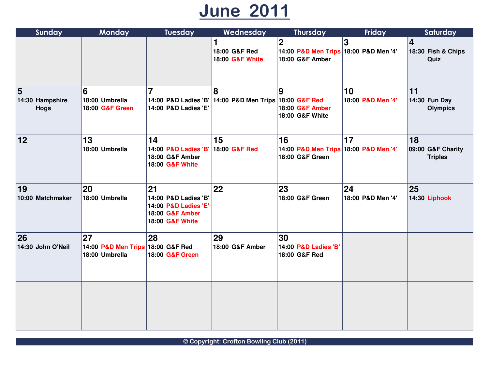### June 2011

| Sunday                              | Monday                                                    | <b>Tuesday</b>                                                                           | Wednesday                                                   | <b>Thursday</b>                                                         | Friday                  | Saturday                                      |
|-------------------------------------|-----------------------------------------------------------|------------------------------------------------------------------------------------------|-------------------------------------------------------------|-------------------------------------------------------------------------|-------------------------|-----------------------------------------------|
|                                     |                                                           |                                                                                          | 1<br>18:00 G&F Red<br>18:00 G&F White                       | $\mathbf 2$<br>14:00 P&D Men Trips 18:00 P&D Men '4'<br>18:00 G&F Amber | 3                       | $\vert 4 \vert$<br>18:30 Fish & Chips<br>Quiz |
| 5<br>14:30 Hampshire<br><b>Hogs</b> | 6<br>18:00 Umbrella<br>18:00 G&F Green                    | $\overline{7}$<br>14:00 P&D Ladies 'E'                                                   | 8<br>14:00 P&D Ladies 'B' 14:00 P&D Men Trips 18:00 G&F Red | 9<br>18:00 G&F Amber<br>18:00 G&F White                                 | 10<br>18:00 P&D Men '4' | 11<br>14:30 Fun Day<br><b>Olympics</b>        |
| 12                                  | 13<br>18:00 Umbrella                                      | 14<br>14:00 P&D Ladies 'B' 18:00 G&F Red<br>18:00 G&F Amber<br>18:00 G&F White           | 15                                                          | 16<br>14:00 P&D Men Trips 18:00 P&D Men '4'<br>18:00 G&F Green          | 17                      | 18<br>09:00 G&F Charity<br><b>Triples</b>     |
| 19<br>10:00 Matchmaker              | 20<br>18:00 Umbrella                                      | 21<br>14:00 P&D Ladies 'B'<br>14:00 P&D Ladies 'E'<br>18:00 G&F Amber<br>18:00 G&F White | 22                                                          | 23<br>18:00 G&F Green                                                   | 24<br>18:00 P&D Men '4' | 25<br>14:30 Liphook                           |
| 26<br>14:30 John O'Neil             | 27<br>14:00 P&D Men Trips 18:00 G&F Red<br>18:00 Umbrella | 28<br>18:00 G&F Green                                                                    | 29<br>18:00 G&F Amber                                       | 30<br>14:00 P&D Ladies 'B'<br>18:00 G&F Red                             |                         |                                               |
|                                     |                                                           |                                                                                          |                                                             |                                                                         |                         |                                               |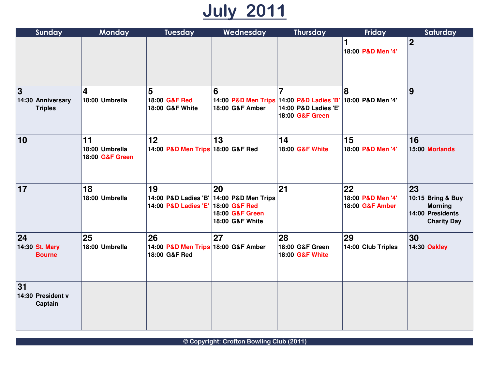# July 2011

| Sunday                                   | <b>Monday</b>                           | <b>Tuesday</b>                                             | Wednesday                                                                            | <b>Thursday</b>                              | Friday                                     | Saturday                                                                            |
|------------------------------------------|-----------------------------------------|------------------------------------------------------------|--------------------------------------------------------------------------------------|----------------------------------------------|--------------------------------------------|-------------------------------------------------------------------------------------|
|                                          |                                         |                                                            |                                                                                      |                                              | 18:00 P&D Men '4'                          | 2                                                                                   |
| 3<br>14:30 Anniversary<br><b>Triples</b> | 4<br>18:00 Umbrella                     | 5<br>18:00 G&F Red<br>18:00 G&F White                      | 6<br>14:00 P&D Men Trips 14:00 P&D Ladies 'B'<br>18:00 G&F Amber                     | 7<br>14:00 P&D Ladies 'E'<br>18:00 G&F Green | 8<br>18:00 P&D Men '4'                     | <u> g</u>                                                                           |
| 10                                       | 11<br>18:00 Umbrella<br>18:00 G&F Green | 12<br>14:00 P&D Men Trips 18:00 G&F Red                    | 13                                                                                   | 14<br>18:00 G&F White                        | 15<br>18:00 P&D Men '4'                    | 16<br>15:00 Morlands                                                                |
| 17                                       | 18<br>18:00 Umbrella                    | 19<br>14:00 P&D Ladies 'E' 18:00 G&F Red                   | 20<br>14:00 P&D Ladies 'B' 14:00 P&D Men Trips<br>18:00 G&F Green<br>18:00 G&F White | 21                                           | 22<br>18:00 P&D Men '4'<br>18:00 G&F Amber | 23<br>10:15 Bring & Buy<br><b>Morning</b><br>14:00 Presidents<br><b>Charity Day</b> |
| 24 <br>14:30 St. Mary<br><b>Bourne</b>   | 25<br>18:00 Umbrella                    | 26<br>14:00 P&D Men Trips 18:00 G&F Amber<br>18:00 G&F Red | 27                                                                                   | 28<br>18:00 G&F Green<br>18:00 G&F White     | 29<br>14:00 Club Triples                   | 30<br>14:30 Oakley                                                                  |
| 31<br>14:30 President v<br>Captain       |                                         |                                                            |                                                                                      |                                              |                                            |                                                                                     |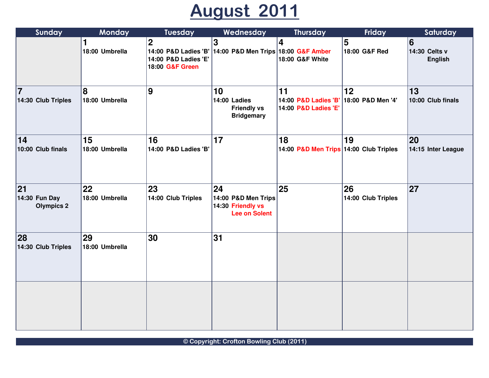## August 2011

| Sunday                                   | <b>Monday</b>        | <b>Tuesday</b>                                         | Wednesday                                                                           | Thursday                                           | Friday                   | Saturday                             |
|------------------------------------------|----------------------|--------------------------------------------------------|-------------------------------------------------------------------------------------|----------------------------------------------------|--------------------------|--------------------------------------|
|                                          | 1<br>18:00 Umbrella  | $\mathbf 2$<br>14:00 P&D Ladies 'E'<br>18:00 G&F Green | $\overline{\mathbf{3}}$<br>14:00 P&D Ladies 'B' 14:00 P&D Men Trips 18:00 G&F Amber | 4<br>18:00 G&F White                               | 5<br>18:00 G&F Red       | 6<br>14:30 Celts v<br><b>English</b> |
| 17<br>14:30 Club Triples                 | 8<br>18:00 Umbrella  | 9                                                      | 10<br>14:00 Ladies<br><b>Friendly vs</b><br><b>Bridgemary</b>                       | 11<br>14:00 P&D Ladies 'B'<br>14:00 P&D Ladies 'E' | 12<br>18:00 P&D Men '4'  | 13<br>10:00 Club finals              |
| 14<br>10:00 Club finals                  | 15<br>18:00 Umbrella | 16<br>14:00 P&D Ladies 'B'                             | 17                                                                                  | 18<br>14:00 P&D Men Trips 14:00 Club Triples       | 19                       | 20<br>14:15 Inter League             |
| 21<br>14:30 Fun Day<br><b>Olympics 2</b> | 22<br>18:00 Umbrella | 23<br>14:00 Club Triples                               | 24<br>14:00 P&D Men Trips<br>14:30 Friendly vs<br><b>Lee on Solent</b>              | 25                                                 | 26<br>14:00 Club Triples | 27                                   |
| 28<br>14:30 Club Triples                 | 29<br>18:00 Umbrella | 30                                                     | 31                                                                                  |                                                    |                          |                                      |
|                                          |                      |                                                        |                                                                                     |                                                    |                          |                                      |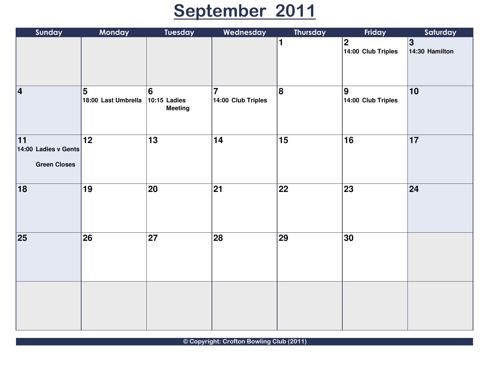# September 2011

| Sunday                                                         | Monday                   | <b>Tuesday</b>                                    | Wednesday                            | Thursday        | Friday                            | Saturday             |
|----------------------------------------------------------------|--------------------------|---------------------------------------------------|--------------------------------------|-----------------|-----------------------------------|----------------------|
|                                                                |                          |                                                   |                                      | $\blacksquare$  | $ 2\rangle$<br>14:00 Club Triples | 3 <br>14:30 Hamilton |
| $\vert 4 \vert$                                                | 5<br>18:00 Last Umbrella | $\vert 6 \vert$<br>10:15 Ladies<br><b>Meeting</b> | $\overline{7}$<br>14:00 Club Triples | 8               | $\vert$ 9<br>14:00 Club Triples   | 10                   |
| $\overline{11}$<br>14:00 Ladies v Gents<br><b>Green Closes</b> | $\overline{12}$          | $\overline{13}$                                   | 14                                   | $\overline{15}$ | $\overline{16}$                   | $\overline{17}$      |
| 18                                                             | 19                       | 20                                                | $\overline{21}$                      | $\overline{22}$ | 23                                | 24                   |
| 25                                                             | $\overline{\textbf{26}}$ | $\overline{27}$                                   | $\overline{28}$                      | 29              | $\overline{30}$                   |                      |
|                                                                |                          |                                                   |                                      |                 |                                   |                      |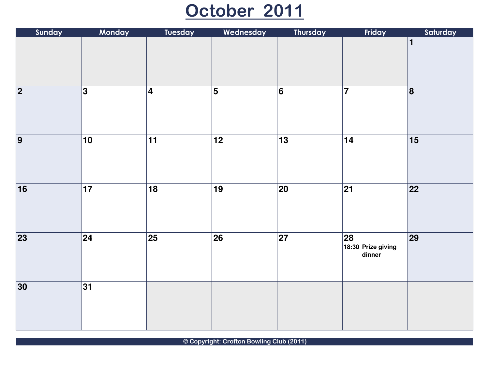#### October 2011

| Sunday          | Monday          | <b>Tuesday</b>          | Wednesday       | Thursday                    | Friday                             | Saturday        |
|-----------------|-----------------|-------------------------|-----------------|-----------------------------|------------------------------------|-----------------|
|                 |                 |                         |                 |                             |                                    | 1               |
| $\overline{2}$  | 3               | $\overline{\mathbf{4}}$ | $\overline{5}$  | 6                           | $\overline{7}$                     | $\overline{8}$  |
| $\overline{9}$  | $\overline{10}$ | $\overline{11}$         | $\overline{12}$ | $\overline{13}$             | $\overline{14}$                    | $\overline{15}$ |
| $\overline{16}$ | $\overline{17}$ | $\overline{18}$         | $\overline{19}$ | $\overline{\vert 20 \vert}$ | $\overline{21}$                    | $\overline{22}$ |
| $\overline{23}$ | $\sqrt{24}$     | $\overline{25}$         | $\overline{26}$ | $\overline{27}$             | 28<br>18:30 Prize giving<br>dinner | $\overline{29}$ |
| $\overline{30}$ | $\overline{31}$ |                         |                 |                             |                                    |                 |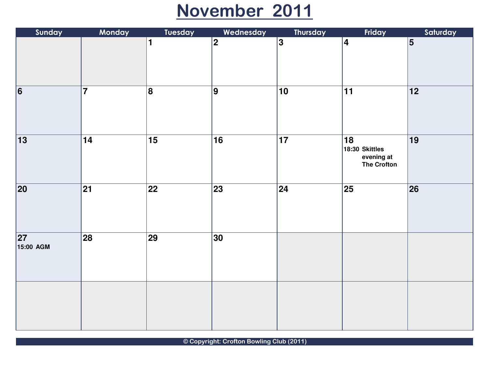### November 2011

| Sunday                       | Monday                   | <b>Tuesday</b>          | Wednesday       | Thursday        | Friday                                            | Saturday        |
|------------------------------|--------------------------|-------------------------|-----------------|-----------------|---------------------------------------------------|-----------------|
|                              |                          | 1                       | $\overline{2}$  | $\overline{3}$  | $\vert 4 \vert$                                   | $\overline{5}$  |
| $\overline{6}$               | $\overline{7}$           | $\overline{\mathbf{8}}$ | $\overline{9}$  | $\overline{10}$ | 11                                                | $\overline{12}$ |
| $\overline{13}$              | $\overline{14}$          | $\overline{15}$         | $\overline{16}$ | $\overline{17}$ | 18<br>18:30 Skittles<br>evening at<br>The Crofton | $\overline{19}$ |
| $\overline{20}$              | $\overline{21}$          | $\overline{22}$         | $\overline{23}$ | $\sqrt{24}$     | $\overline{25}$                                   | $\overline{26}$ |
| $\overline{27}$<br>15:00 AGM | $\overline{\textbf{28}}$ | $\overline{29}$         | 30              |                 |                                                   |                 |
|                              |                          |                         |                 |                 |                                                   |                 |